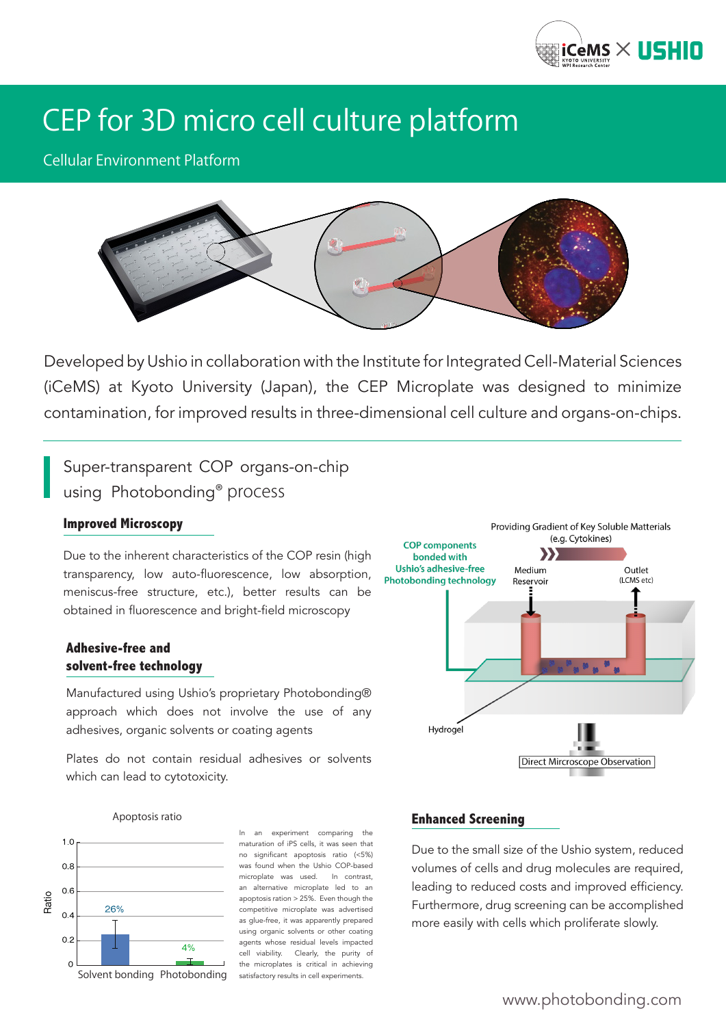

# CEP for 3D micro cell culture platform

Cellular Environment Platform



Developed by Ushio in collaboration with the Institute for Integrated Cell-Material Sciences (iCeMS) at Kyoto University (Japan), the CEP Microplate was designed to minimize contamination, for improved results in three-dimensional cell culture and organs-on-chips.

Super-transparent COP organs-on-chip using Photobonding® process

#### **Improved Microscopy**

Due to the inherent characteristics of the COP resin (high transparency, low auto-fluorescence, low absorption, meniscus-free structure, etc.), better results can be obtained in fluorescence and bright-field microscopy

#### **Adhesive-free and solvent-free technology**

Manufactured using Ushio's proprietary Photobonding® approach which does not involve the use of any adhesives, organic solvents or coating agents

Plates do not contain residual adhesives or solvents which can lead to cytotoxicity.



#### Apoptosis ratio



In an experiment comparing the maturation of iPS cells, it was seen that no significant apoptosis ratio (<5%) was found when the Ushio COP-based microplate was used. In contrast, an alternative microplate led to an apoptosis ration > 25%. Even though the competitive microplate was advertised as glue-free, it was apparently prepared using organic solvents or other coating agents whose residual levels impacted cell viability. Clearly, the purity of the microplates is critical in achieving satisfactory results in cell experiments.

#### **Enhanced Screening**

Due to the small size of the Ushio system, reduced volumes of cells and drug molecules are required, leading to reduced costs and improved efficiency. Furthermore, drug screening can be accomplished more easily with cells which proliferate slowly.